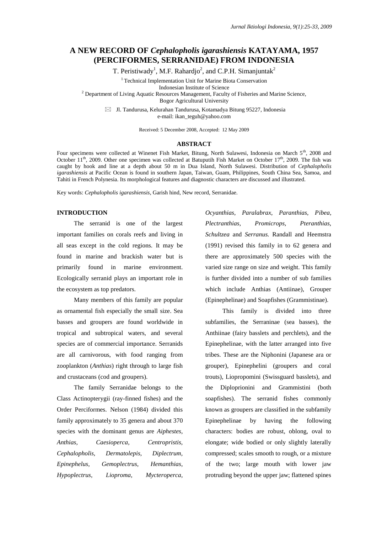# **A NEW RECORD OF** *Cephalopholis igarashiensis* **KATAYAMA, 1957 (PERCIFORMES, SERRANIDAE) FROM INDONESIA**

T. Peristiwady<sup>1</sup>, M.F. Rahardjo<sup>2</sup>, and C.P.H. Simanjuntak<sup>2</sup>

<sup>1</sup> Technical Implementation Unit for Marine Biota Conservation Indonesian Institute of Science <sup>2</sup> Department of Living Aquatic Resources Management, Faculty of Fisheries and Marine Science,

Bogor Agricultural University

 $\boxtimes$  Jl. Tandurusa, Kelurahan Tandurusa, Kotamadya Bitung 95227, Indonesia e-mail[: ikan\\_teguh@yahoo.com](mailto:ikan_teguh@yahoo.com)

Received: 5 December 2008, Accepted: 12 May 2009

#### **ABSTRACT**

Four specimens were collected at Winenet Fish Market, Bitung, North Sulawesi, Indonesia on March 5<sup>th</sup>, 2008 and October 11<sup>th</sup>, 2009. Other one specimen was collected at Batuputih Fish Market on October 17<sup>th</sup>, 2009. The fish was caught by hook and line at a depth about 50 m in Dua Island, North Sulawesi. Distribution of *Cephalopholis igarashiensis* at Pacific Ocean is found in southern Japan, Taiwan, Guam, Philippines, South China Sea, Samoa, and Tahiti in French Polynesia. Its morphological features and diagnostic characters are discussed and illustrated.

Key words: *Cephalopholis igarashiensis*, Garish hind, New record, Serranidae.

## **INTRODUCTION**

The serranid is one of the largest important families on corals reefs and living in all seas except in the cold regions. It may be found in marine and brackish water but is primarily found in marine environment. Ecologically serranid plays an important role in the ecosystem as top predators.

Many members of this family are popular as ornamental fish especially the small size. Sea basses and groupers are found worldwide in tropical and subtropical waters, and several species are of commercial importance. Serranids are all carnivorous, with food ranging from zooplankton (*Anthias*) right through to large fish and crustaceans (cod and groupers).

The family Serranidae belongs to the Class Actinopterygii (ray-finned fishes) and the Order Perciformes. Nelson (1984) divided this family approximately to 35 genera and about 370 species with the dominant genus are *Aiphestes, Anthias, Caesioperca, Centropristis, Cephalopholis, Dermatolepis, Diplectrum, Epinephelus, Gemoplectrus, Hemanthias, Hypoplectrus, Lioproma, Mycteroperca,* 

*Ocyanthias, Paralabrax, Paranthias, Pibea, Plectranthias, Promicrops, Pteranthias, Schultzea* and *Serranus.* Randall and Heemstra (1991) revised this family in to 62 genera and there are approximately 500 species with the varied size range on size and weight. This family is further divided into a number of sub families which include Anthias (Antiinae), Grouper (Epinephelinae) and Soapfishes (Grammistinae).

This family is divided into three subfamilies, the Serraninae (sea basses), the Anthiinae (fairy basslets and perchlets), and the Epinephelinae, with the latter arranged into five tribes. These are the Niphonini (Japanese ara or grouper), Epinephelini (groupers and coral trouts), Liopropomini (Swissguard basslets), and the Diploprionini and Grammistini (both soapfishes). The serranid fishes commonly known as groupers are classified in the subfamily Epinephelinae by having the following characters: bodies are robust, oblong, oval to elongate; wide bodied or only slightly laterally compressed; scales smooth to rough, or a mixture of the two; large mouth with lower jaw protruding beyond the upper jaw; flattened spines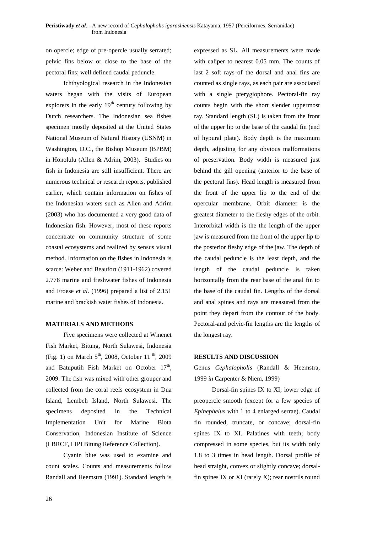on opercle; edge of pre-opercle usually serrated; pelvic fins below or close to the base of the pectoral fins; well defined caudal peduncle.

Ichthyological research in the Indonesian waters began with the visits of European explorers in the early  $19<sup>th</sup>$  century following by Dutch researchers. The Indonesian sea fishes specimen mostly deposited at the United States National Museum of Natural History (USNM) in Washington, D.C., the Bishop Museum (BPBM) in Honolulu (Allen & Adrim, 2003). Studies on fish in Indonesia are still insufficient. There are numerous technical or research reports, published earlier, which contain information on fishes of the Indonesian waters such as Allen and Adrim (2003) who has documented a very good data of Indonesian fish. However, most of these reports concentrate on community structure of some coastal ecosystems and realized by sensus visual method. Information on the fishes in Indonesia is scarce: Weber and Beaufort (1911-1962) covered 2.778 marine and freshwater fishes of Indonesia and Froese *et al*. (1996) prepared a list of 2.151 marine and brackish water fishes of Indonesia.

### **MATERIALS AND METHODS**

Five specimens were collected at Winenet Fish Market, Bitung, North Sulawesi, Indonesia (Fig. 1) on March  $5^{\text{th}}$ , 2008, October 11<sup>th</sup>, 2009 and Batuputih Fish Market on October  $17<sup>th</sup>$ , 2009. The fish was mixed with other grouper and collected from the coral reefs ecosystem in Dua Island, Lembeh Island, North Sulawesi. The specimens deposited in the Technical Implementation Unit for Marine Biota Conservation, Indonesian Institute of Science (LBRCF, LIPI Bitung Reference Collection).

Cyanin blue was used to examine and count scales. Counts and measurements follow Randall and Heemstra (1991). Standard length is

expressed as SL. All measurements were made with caliper to nearest 0.05 mm. The counts of last 2 soft rays of the dorsal and anal fins are counted as single rays, as each pair are associated with a single pterygiophore. Pectoral-fin ray counts begin with the short slender uppermost ray. Standard length (SL) is taken from the front of the upper lip to the base of the caudal fin (end of hypural plate). Body depth is the maximum depth, adjusting for any obvious malformations of preservation. Body width is measured just behind the gill opening (anterior to the base of the pectoral fins). Head length is measured from the front of the upper lip to the end of the opercular membrane. Orbit diameter is the greatest diameter to the fleshy edges of the orbit. Interorbital width is the the length of the upper jaw is measured from the front of the upper lip to the posterior fleshy edge of the jaw. The depth of the caudal peduncle is the least depth, and the length of the caudal peduncle is taken horizontally from the rear base of the anal fin to the base of the caudal fin. Lengths of the dorsal and anal spines and rays are measured from the point they depart from the contour of the body. Pectoral-and pelvic-fin lengths are the lengths of the longest ray.

### **RESULTS AND DISCUSSION**

Genus *Cephalopholis* (Randall & Heemstra, 1999 *in* Carpenter & Niem, 1999)

Dorsal-fin spines IX to XI; lower edge of preopercle smooth (except for a few species of *Epinephelus* with 1 to 4 enlarged serrae). Caudal fin rounded, truncate, or concave; dorsal-fin spines IX to XI. Palatines with teeth; body compressed in some species, but its width only 1.8 to 3 times in head length. Dorsal profile of head straight, convex or slightly concave; dorsalfin spines IX or XI (rarely X); rear nostrils round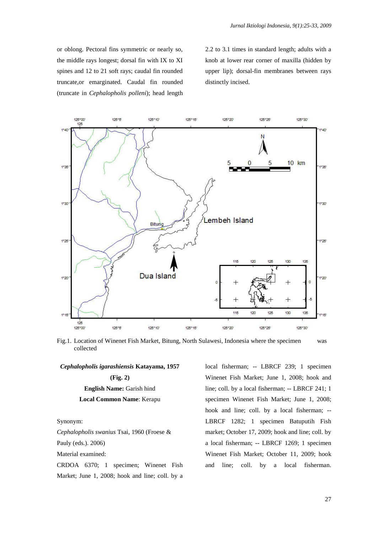or oblong. Pectoral fins symmetric or nearly so, the middle rays longest; dorsal fin with IX to XI spines and 12 to 21 soft rays; caudal fin rounded truncate,or emarginated. Caudal fin rounded (truncate in *Cephalopholis polleni*); head length 2.2 to 3.1 times in standard length; adults with a knob at lower rear corner of maxilla (hidden by upper lip); dorsal-fin membranes between rays distinctly incised.



Fig.1. Location of Winenet Fish Market, Bitung, North Sulawesi, Indonesia where the specimen was collected

#### *Cephalopholis igarashiensis* **Katayama, 1957**

**(Fig. 2) English Name:** Garish hind **Local Common Name**: Kerapu

#### Synonym:

*Cephalopholis swanius* Tsai, 1960 (Froese &

Pauly (eds.). 2006)

Material examined:

CRDOA 6370; 1 specimen; Winenet Fish Market; June 1, 2008; hook and line; coll. by a

local fisherman; -- LBRCF 239; 1 specimen Winenet Fish Market; June 1, 2008; hook and line; coll. by a local fisherman; -- LBRCF 241; 1 specimen Winenet Fish Market; June 1, 2008; hook and line; coll. by a local fisherman; -- LBRCF 1282; 1 specimen Batuputih Fish market; October 17, 2009; hook and line; coll. by a local fisherman; -- LBRCF 1269; 1 specimen Winenet Fish Market; October 11, 2009; hook and line; coll. by a local fisherman.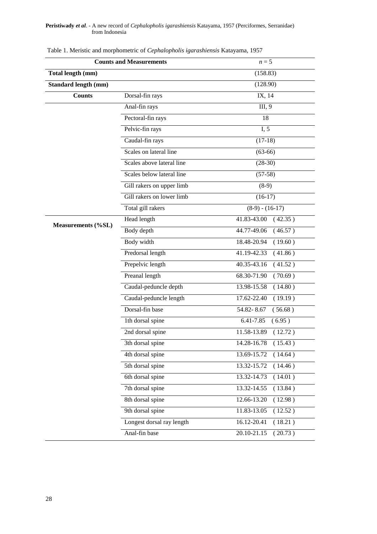### **Peristiwady** *et al*. - A new record of *Cephalopholis igarashiensis* Katayama, 1957 (Perciformes, Serranidae) from Indonesia

| <b>Counts and Measurements</b> |                           | $n=5$                  |
|--------------------------------|---------------------------|------------------------|
| Total length (mm)              |                           | (158.83)               |
| <b>Standard length (mm)</b>    |                           | (128.90)               |
| <b>Counts</b>                  | Dorsal-fin rays           | IX, 14                 |
|                                | Anal-fin rays             | III, 9                 |
|                                | Pectoral-fin rays         | 18                     |
|                                | Pelvic-fin rays           | I, 5                   |
|                                | Caudal-fin rays           | $(17-18)$              |
|                                | Scales on lateral line    | $(63-66)$              |
|                                | Scales above lateral line | $(28-30)$              |
|                                | Scales below lateral line | $(57-58)$              |
|                                | Gill rakers on upper limb | $(8-9)$                |
|                                | Gill rakers on lower limb | $(16-17)$              |
|                                | Total gill rakers         | $(8-9) - (16-17)$      |
| <b>Measurements (%SL)</b>      | Head length               | 41.83-43.00<br>(42.35) |
|                                | Body depth                | 44.77-49.06<br>(46.57) |
|                                | Body width                | (19.60)<br>18.48-20.94 |
|                                | Predorsal length          | 41.19-42.33<br>(41.86) |
|                                | Prepelvic length          | 40.35-43.16<br>(41.52) |
|                                | Preanal length            | 68.30-71.90<br>(70.69) |
|                                | Caudal-peduncle depth     | 13.98-15.58<br>(14.80) |
|                                | Caudal-peduncle length    | 17.62-22.40<br>(19.19) |
|                                | Dorsal-fin base           | 54.82-8.67<br>(56.68)  |
|                                | 1th dorsal spine          | 6.41-7.85<br>(6.95)    |
|                                | 2nd dorsal spine          | 11.58-13.89<br>(12.72) |
|                                | 3th dorsal spine          | 14.28-16.78<br>(15.43) |
|                                | 4th dorsal spine          | (14.64)<br>13.69-15.72 |
|                                | 5th dorsal spine          | 13.32-15.72<br>(14.46) |
|                                | 6th dorsal spine          | 13.32-14.73<br>(14.01) |
|                                | 7th dorsal spine          | 13.32-14.55<br>(13.84) |
|                                | 8th dorsal spine          | 12.66-13.20<br>(12.98) |
|                                | 9th dorsal spine          | 11.83-13.05<br>(12.52) |
|                                | Longest dorsal ray length | 16.12-20.41<br>(18.21) |
|                                | Anal-fin base             | 20.10-21.15<br>(20.73) |

Table 1. Meristic and morphometric of *Cephalopholis igarashiensis* Katayama, 1957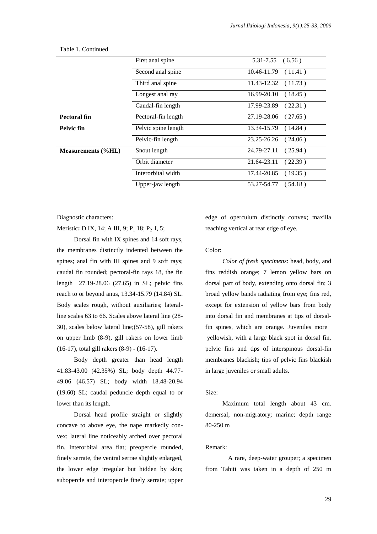|                           | First anal spine    | $5.31 - 7.55$ $(6.56)$  |
|---------------------------|---------------------|-------------------------|
|                           | Second anal spine   | $10.46 - 11.79$ (11.41) |
|                           | Third anal spine    | 11.43-12.32<br>(11.73)  |
|                           | Longest anal ray    | $16.99 - 20.10$ (18.45) |
|                           | Caudal-fin length   | 17.99-23.89<br>(22.31)  |
| Pectoral fin              | Pectoral-fin length | 27.19-28.06 (27.65)     |
| Pelvic fin                | Pelvic spine length | 13.34-15.79 (14.84)     |
|                           | Pelvic-fin length   | 23.25-26.26<br>(24.06)  |
| <b>Measurements (%HL)</b> | Snout length        | 24.79-27.11<br>(25.94)  |
|                           | Orbit diameter      | 21.64-23.11<br>(22.39)  |
|                           | Interorbital width  | $17.44 - 20.85$ (19.35) |
|                           | Upper-jaw length    | 53.27-54.77 (54.18)     |

#### Table 1. Continued

Diagnostic characters:

Meristic: D IX, 14; A III, 9; P<sub>1</sub> 18; P<sub>2</sub> I, 5;

Dorsal fin with IX spines and 14 soft rays, the membranes distinctly indented between the spines; anal fin with III spines and 9 soft rays; caudal fin rounded; pectoral-fin rays 18, the fin length 27.19-28.06 (27.65) in SL; pelvic fins reach to or beyond anus, 13.34-15.79 (14.84) SL. Body scales rough, without auxiliaries; lateralline scales 63 to 66. Scales above lateral line (28- 30), scales below lateral line;(57-58), gill rakers on upper limb (8-9), gill rakers on lower limb (16-17), total gill rakers (8-9) - (16-17).

Body depth greater than head length 41.83-43.00 (42.35%) SL; body depth 44.77- 49.06 (46.57) SL; body width 18.48-20.94 (19.60) SL; caudal peduncle depth equal to or lower than its length.

Dorsal head profile straight or slightly concave to above eye, the nape markedly convex; lateral line noticeably arched over pectoral fin. Interorbital area flat; preopercle rounded, finely serrate, the ventral serrae slightly enlarged, the lower edge irregular but hidden by skin; subopercle and interopercle finely serrate; upper edge of operculum distinctly convex; maxilla reaching vertical at rear edge of eye.

#### Color:

*Color of fresh specimens*: head, body, and fins reddish orange; 7 lemon yellow bars on dorsal part of body, extending onto dorsal fin; 3 broad yellow bands radiating from eye; fins red, except for extension of yellow bars from body into dorsal fin and membranes at tips of dorsalfin spines, which are orange. Juveniles more yellowish, with a large black spot in dorsal fin, pelvic fins and tips of interspinous dorsal-fin membranes blackish; tips of pelvic fins blackish in large juveniles or small adults.

### Size:

Maximum total length about 43 cm. demersal; non-migratory; marine; depth range 80-250 m

### Remark:

A rare, deep-water grouper; a specimen from Tahiti was taken in a depth of 250 m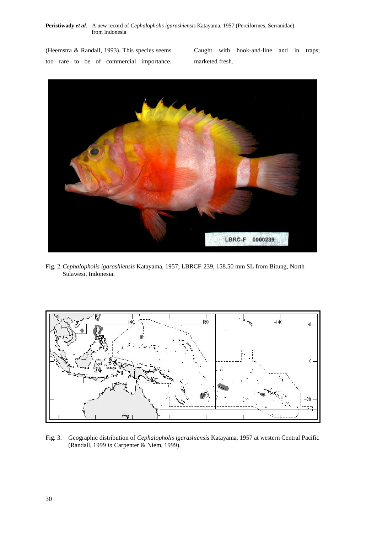**Peristiwady** *et al*. - A new record of *Cephalopholis igarashiensis* Katayama, 1957 (Perciformes, Serranidae) from Indonesia

(Heemstra & Randall, 1993). This species seems too rare to be of commercial importance. Caught with hook-and-line and in traps; marketed fresh.



Fig. 2.*Cephalopholis igarashiensis* Katayama, 1957; LBRCF-239, 158.50 mm SL from Bitung, North Sulawesi, Indonesia.



Fig. 3. Geographic distribution of *Cephalopholis igarashiensis* Katayama, 1957 at western Central Pacific (Randall, 1999 *in* Carpenter & Niem, 1999).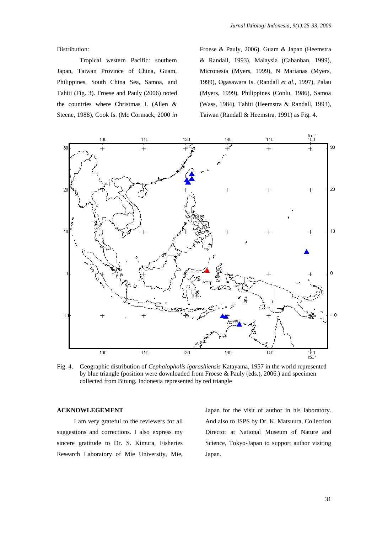Distribution:

Tropical western Pacific: southern Japan, Taiwan Province of China, Guam, Philippines, South China Sea, Samoa, and Tahiti (Fig. 3). Froese and Pauly (2006) noted the countries where Christmas I. (Allen & Steene, 1988), Cook Is. (Mc Cormack, 2000 *in*

Froese & Pauly, 2006). Guam & Japan (Heemstra & Randall, 1993), Malaysia (Cabanban, 1999), Micronesia (Myers, 1999), N Marianas (Myers, 1999), Ogasawara Is. (Randall *et al*., 1997), Palau (Myers, 1999), Philippines (Conlu, 1986), Samoa (Wass, 1984), Tahiti (Heemstra & Randall, 1993), Taiwan (Randall & Heemstra, 1991) as Fig. 4.



Fig. 4. Geographic distribution of *Cephalopholis igarashiensis* Katayama, 1957 in the world represented by blue triangle (position were downloaded from Froese & Pauly (eds.), 2006.) and specimen collected from Bitung, Indonesia represented by red triangle

#### **ACKNOWLEGEMENT**

I am very grateful to the reviewers for all suggestions and corrections. I also express my sincere gratitude to Dr. S. Kimura, Fisheries Research Laboratory of Mie University, Mie, Japan for the visit of author in his laboratory. And also to JSPS by Dr. K. Matsuura, Collection Director at National Museum of Nature and Science, Tokyo-Japan to support author visiting Japan.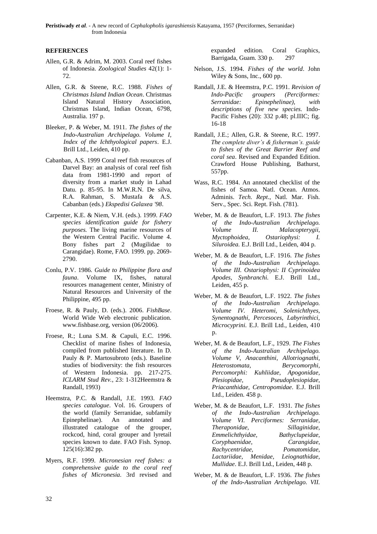## **REFERENCES**

- Allen, G.R. & Adrim, M. 2003. Coral reef fishes of Indonesia. *Zoological Studies* 42(1): 1- 72.
- Allen, G.R. & Steene, R.C. 1988. *Fishes of Christmas Island Indian Ocean*. Christmas Island Natural History Association, Christmas Island, Indian Ocean, 6798, Australia. 197 p.
- Bleeker, P. & Weber, M. 1911. *The fishes of the Indo-Australian Archipelago. Volume I, Index of the Ichthyological papers*. E.J. Brill Ltd., Leiden, 410 pp.
- Cabanban, A.S. 1999 Coral reef fish resources of Darvel Bay: an analysis of coral reef fish data from 1981-1990 and report of diversity from a market study in Lahad Datu. p. 85-95. In M.W.R.N. De silva, R.A. Rahman, S. Mustafa & A.S. Cabanban (eds.) *Ekspedisi Galaxea '98*.
- Carpenter, K.E. & Niem, V.H. (eds.). 1999. *FAO species identification guide for fishery purposes.* The living marine resources of the Western Central Pacific. Volume 4. Bony fishes part 2 (Mugilidae to Carangidae). Rome, FAO. 1999. pp. 2069- 2790.
- Conlu, P.V. 1986*. Guide to Philippine flora and fauna*. Volume IX, fishes, natural resources management center, Ministry of Natural Resources and University of the Philippine, 495 pp.
- Froese, R. & Pauly, D. (eds.). 2006. *FishBase*. World Wide Web electronic publication. www.fishbase.org, version (06/2006).
- Froese, R.; Luna S.M. & Capuli, E.C. 1996. Checklist of marine fishes of Indonesia, compiled from published literature. In D. Pauly & P. Martosubroto (eds.). Baseline studies of biodiversity: the fish resources of Western Indonesia. pp. 217-275. *ICLARM Stud Rev.*, 23: 1-312Heemstra & Randall, 1993)
- Heemstra, P.C. & Randall, J.E. 1993. *FAO species catalogue*. Vol. 16. Groupers of the world (family Serranidae, subfamily Epinephelinae). An annotated and illustrated catalogue of the grouper, rockcod, hind, coral grouper and lyretail species known to date. FAO Fish. Synop. 125(16):382 pp.
- Myers, R.F. 1999. *Micronesian reef fishes: a comprehensive guide to the coral reef fishes of Micronesia.* 3rd revised and

expanded edition. Coral Graphics, Barrigada, Guam. 330 p. 297

- Nelson, J.S. 1994. *Fishes of the world*. John Wiley & Sons, Inc., 600 pp.
- Randall, J.E. & Heemstra, P.C. 1991. *Revision of Indo-Pacific groupers (Perciformes: Serranidae: Epinephelinae), with descriptions of five new species.* Indo-Pacific Fishes (20): 332 p.48; pl.IIIC; fig. 16-18
- Randall, J.E.; Allen, G.R. & Steene, R.C. 1997. *The complete diver's & fisherman's. guide to fishes of the Great Barrier Reef and coral sea*. Revised and Expanded Edition. Crawford House Publishing, Bathurst, 557pp.
- Wass, R.C. 1984. An annotated checklist of the fishes of Samoa. Natl. Ocean. Atmos. Adminis. *Tech. Rept*., Natl. Mar. Fish. Serv., Spec. Sci. Rept. Fish. (781).
- Weber, M. & de Beaufort, L.F. 1913. *The fishes of the Indo-Australian Archipelago. Volume II. Malacopterygii, Myctophoidea, Ostariophysi: I. Siluroidea.* E.J. Brill Ltd., Leiden, 404 p.
- Weber, M. & de Beaufort, L.F. 1916. *The fishes of the Indo-Australian Archipelago. Volume III. Ostariophysi: II Cyprinoidea Apodes, Synbranchi.* E.J. Brill Ltd., Leiden, 455 p.
- Weber, M. & de Beaufort, L.F. 1922. *The fishes of the Indo-Australian Archipelago. Volume IV. Heteromi, Solenichthyes, Synentognathi, Percesoces, Labyrinthici, Microcyprini.* E.J. Brill Ltd., Leiden, 410 p.
- Weber, M. & de Beaufort, L.F., 1929. *The Fishes of the Indo-Australian Archipelago. Volume V, Anacanthini, Allotriognathi, Heterostomata, Berycomorphi, Percomorphi: Kuhliidae, Apogonidae, Plesiopidae, Pseudoplesiopidae, Priacanthidae, Centropomidae*. E.J. Brill Ltd., Leiden. 458 p.
- Weber, M. & de Beaufort, L.F. 1931. *The fishes of the Indo-Australian Archipelago. Volume VI. Perciformes: Serranidae, Theraponidae, Sillaginidae, Emmelichthyidae, Bathyclupeidae, Coryphaenidae, Carangidae, Rachycentridae, Pomatomidae, Lactariidae, Menidae, Leiognathidae, Mullidae*. E.J. Brill Ltd., Leiden, 448 p.
- Weber, M. & de Beaufort, L.F. 1936. *The fishes of the Indo-Australian Archipelago. VII.*